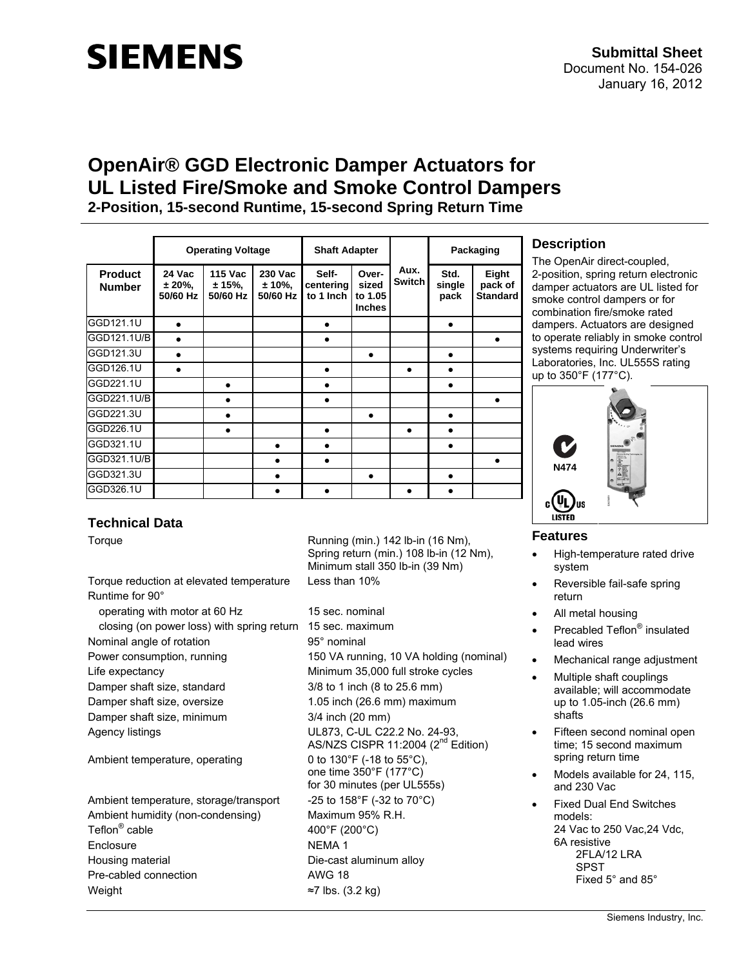# **SIEMENS**

## **OpenAir® GGD Electronic Damper Actuators for UL Listed Fire/Smoke and Smoke Control Dampers**

**2-Position, 15-second Runtime, 15-second Spring Return Time**

|                                 | <b>Operating Voltage</b>     |                                      |                                   | <b>Shaft Adapter</b>            |                                            |                | Packaging              |                                     |
|---------------------------------|------------------------------|--------------------------------------|-----------------------------------|---------------------------------|--------------------------------------------|----------------|------------------------|-------------------------------------|
| <b>Product</b><br><b>Number</b> | 24 Vac<br>± 20%,<br>50/60 Hz | <b>115 Vac</b><br>± 15%,<br>50/60 Hz | 230 Vac<br>$± 10\%$ ,<br>50/60 Hz | Self-<br>centering<br>to 1 Inch | Over-<br>sized<br>to 1.05<br><b>Inches</b> | Aux.<br>Switch | Std.<br>single<br>pack | Eight<br>pack of<br><b>Standard</b> |
| GGD121.1U                       |                              |                                      |                                   |                                 |                                            |                |                        |                                     |
| GGD121.1U/B                     |                              |                                      |                                   |                                 |                                            |                |                        |                                     |
| GGD121.3U                       |                              |                                      |                                   |                                 |                                            |                |                        |                                     |
| GGD126.1U                       |                              |                                      |                                   |                                 |                                            |                |                        |                                     |
| GGD221.1U                       |                              |                                      |                                   |                                 |                                            |                |                        |                                     |
| GGD221.1U/B                     |                              |                                      |                                   |                                 |                                            |                |                        |                                     |
| GGD221.3U                       |                              |                                      |                                   |                                 |                                            |                |                        |                                     |
| GGD226.1U                       |                              |                                      |                                   |                                 |                                            |                |                        |                                     |
| GGD321.1U                       |                              |                                      | $\bullet$                         |                                 |                                            |                |                        |                                     |
| GGD321.1U/B                     |                              |                                      |                                   |                                 |                                            |                |                        |                                     |
| GGD321.3U                       |                              |                                      |                                   |                                 |                                            |                |                        |                                     |
| GGD326.1U                       |                              |                                      |                                   |                                 |                                            |                |                        |                                     |

## **Description**

The OpenAir direct-coupled, 2-position, spring return electronic damper actuators are UL listed for smoke control dampers or for combination fire/smoke rated dampers. Actuators are designed to operate reliably in smoke control systems requiring Underwriter's Laboratories, Inc. UL555S rating up to 350°F (177°C).



## **Features**

- High-temperature rated drive system
- Reversible fail-safe spring return
- All metal housing
- Precabled Teflon<sup>®</sup> insulated lead wires
- Mechanical range adjustment
- Multiple shaft couplings available; will accommodate up to 1.05-inch (26.6 mm) shafts
- Fifteen second nominal open time; 15 second maximum spring return time
- Models available for 24, 115. and 230 Vac
- Fixed Dual End Switches models: 24 Vac to 250 Vac,24 Vdc, 6A resistive 2FLA/12 LRA SPST Fixed 5° and 85°

## **Technical Data**

Torque reduction at elevated temperature Less than 10% Runtime for 90° operating with motor at 60 Hz 15 sec. nominal closing (on power loss) with spring return 15 sec. maximum Nominal angle of rotation 95° nominal Power consumption, running 150 VA running, 10 VA holding (nominal) Life expectancy Minimum 35,000 full stroke cycles Damper shaft size, standard 3/8 to 1 inch (8 to 25.6 mm) Damper shaft size, oversize 1.05 inch (26.6 mm) maximum Damper shaft size, minimum 3/4 inch (20 mm) Agency listings **National Contract COV** UL873, C-UL C22.2 No. 24-93, Ambient temperature, operating 0 to 130°F (-18 to 55°C), Ambient temperature, storage/transport  $-25$  to 158°F (-32 to 70°C) Ambient humidity (non-condensing) Maximum 95% R.H. Teflon<sup>®</sup> cable Enclosure NEMA 1 Housing material **Die-cast aluminum alloy** Pre-cabled connection and awG 18

Weight  $\approx$ 7 lbs. (3.2 kg)

Torque **Running (min.)** 142 lb-in (16 Nm), Spring return (min.) 108 lb-in (12 Nm), Minimum stall 350 lb-in (39 Nm)

> AS/NZS CISPR 11:2004  $(2^{nd}$  Edition) one time 350°F (177°C) for 30 minutes (per UL555s) 400°F (200°C)